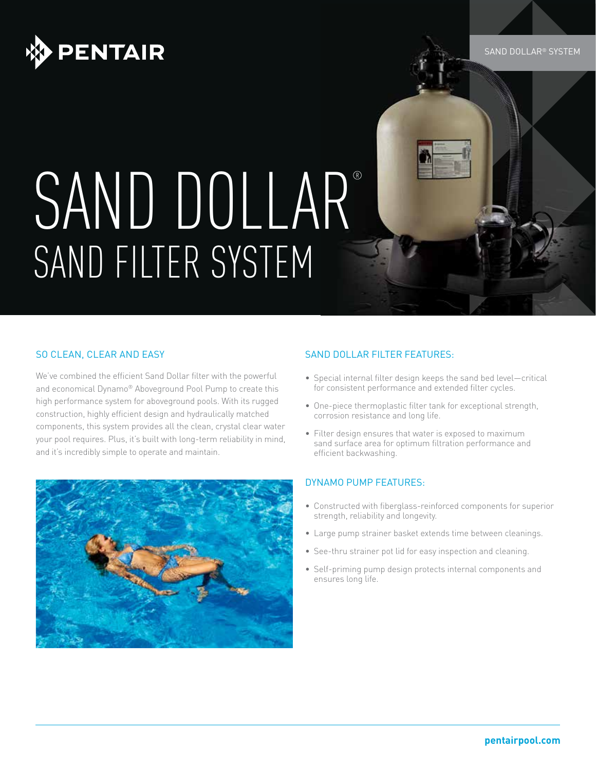

# SAND DOLLAR® SAND FILTER SYSTEM

#### SO CLEAN, CLEAR AND EASY

We've combined the efficient Sand Dollar filter with the powerful and economical Dynamo® Aboveground Pool Pump to create this high performance system for aboveground pools. With its rugged construction, highly efficient design and hydraulically matched components, this system provides all the clean, crystal clear water your pool requires. Plus, it's built with long-term reliability in mind, and it's incredibly simple to operate and maintain.



#### SAND DOLLAR FILTER FEATURES:

- Special internal filter design keeps the sand bed level—critical for consistent performance and extended filter cycles.
- One-piece thermoplastic filter tank for exceptional strength, corrosion resistance and long life.
- Filter design ensures that water is exposed to maximum sand surface area for optimum filtration performance and efficient backwashing.

#### DYNAMO PUMP FEATURES:

- Constructed with fiberglass-reinforced components for superior strength, reliability and longevity.
- Large pump strainer basket extends time between cleanings.
- See-thru strainer pot lid for easy inspection and cleaning.
- Self-priming pump design protects internal components and ensures long life.